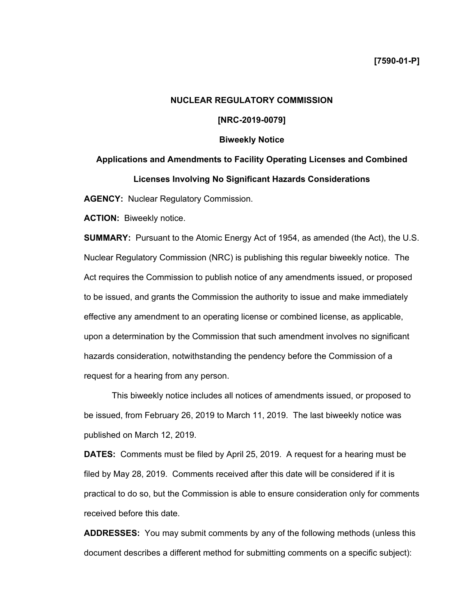# **NUCLEAR REGULATORY COMMISSION**

## **[NRC-2019-0079]**

#### **Biweekly Notice**

# **Applications and Amendments to Facility Operating Licenses and Combined Licenses Involving No Significant Hazards Considerations**

**AGENCY:** Nuclear Regulatory Commission.

**ACTION:** Biweekly notice.

**SUMMARY:** Pursuant to the Atomic Energy Act of 1954, as amended (the Act), the U.S. Nuclear Regulatory Commission (NRC) is publishing this regular biweekly notice. The Act requires the Commission to publish notice of any amendments issued, or proposed to be issued, and grants the Commission the authority to issue and make immediately effective any amendment to an operating license or combined license, as applicable, upon a determination by the Commission that such amendment involves no significant hazards consideration, notwithstanding the pendency before the Commission of a request for a hearing from any person.

This biweekly notice includes all notices of amendments issued, or proposed to be issued, from February 26, 2019 to March 11, 2019. The last biweekly notice was published on March 12, 2019.

**DATES:** Comments must be filed by April 25, 2019. A request for a hearing must be filed by May 28, 2019. Comments received after this date will be considered if it is practical to do so, but the Commission is able to ensure consideration only for comments received before this date.

**ADDRESSES:** You may submit comments by any of the following methods (unless this document describes a different method for submitting comments on a specific subject):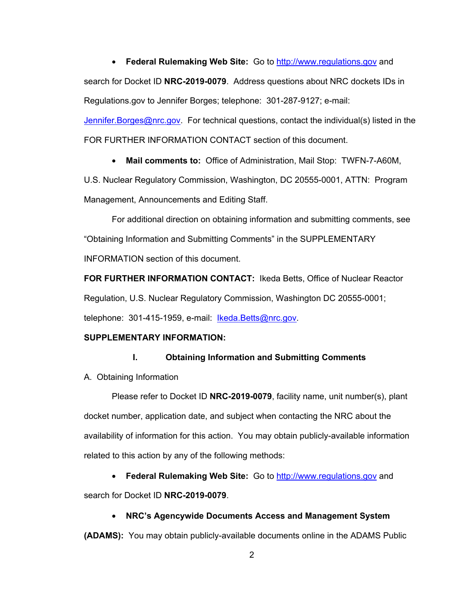• **Federal Rulemaking Web Site:** Go to http://www.regulations.gov and search for Docket ID **NRC-2019-0079**. Address questions about NRC dockets IDs in Regulations.gov to Jennifer Borges; telephone: 301-287-9127; e-mail:

Jennifer. Borges@nrc.gov. For technical questions, contact the individual(s) listed in the FOR FURTHER INFORMATION CONTACT section of this document.

• **Mail comments to:** Office of Administration, Mail Stop: TWFN-7-A60M,

U.S. Nuclear Regulatory Commission, Washington, DC 20555-0001, ATTN: Program Management, Announcements and Editing Staff.

 For additional direction on obtaining information and submitting comments, see "Obtaining Information and Submitting Comments" in the SUPPLEMENTARY INFORMATION section of this document.

**FOR FURTHER INFORMATION CONTACT:** Ikeda Betts, Office of Nuclear Reactor Regulation, U.S. Nuclear Regulatory Commission, Washington DC 20555-0001; telephone: 301-415-1959, e-mail: Ikeda.Betts@nrc.gov.

## **SUPPLEMENTARY INFORMATION:**

#### **I. Obtaining Information and Submitting Comments**

A. Obtaining Information

Please refer to Docket ID **NRC-2019-0079**, facility name, unit number(s), plant docket number, application date, and subject when contacting the NRC about the availability of information for this action. You may obtain publicly-available information related to this action by any of the following methods:

• **Federal Rulemaking Web Site:** Go to http://www.regulations.gov and search for Docket ID **NRC-2019-0079**.

#### • **NRC's Agencywide Documents Access and Management System**

**(ADAMS):** You may obtain publicly-available documents online in the ADAMS Public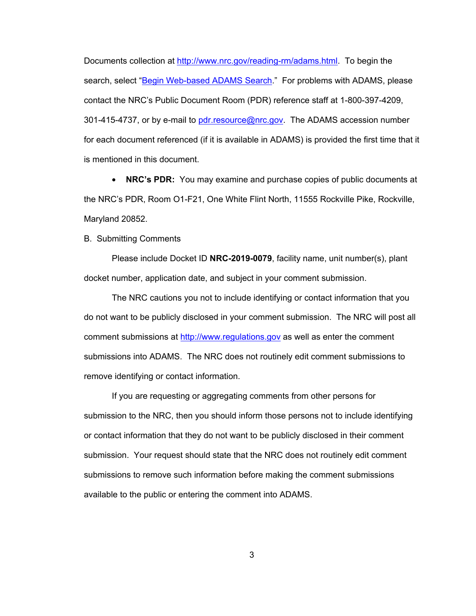Documents collection at http://www.nrc.gov/reading-rm/adams.html. To begin the search, select "Begin Web-based ADAMS Search." For problems with ADAMS, please contact the NRC's Public Document Room (PDR) reference staff at 1-800-397-4209, 301-415-4737, or by e-mail to pdr.resource@nrc.gov. The ADAMS accession number for each document referenced (if it is available in ADAMS) is provided the first time that it is mentioned in this document.

• **NRC's PDR:** You may examine and purchase copies of public documents at the NRC's PDR, Room O1-F21, One White Flint North, 11555 Rockville Pike, Rockville, Maryland 20852.

B. Submitting Comments

Please include Docket ID **NRC-2019-0079**, facility name, unit number(s), plant docket number, application date, and subject in your comment submission.

The NRC cautions you not to include identifying or contact information that you do not want to be publicly disclosed in your comment submission. The NRC will post all comment submissions at http://www.regulations.gov as well as enter the comment submissions into ADAMS. The NRC does not routinely edit comment submissions to remove identifying or contact information.

If you are requesting or aggregating comments from other persons for submission to the NRC, then you should inform those persons not to include identifying or contact information that they do not want to be publicly disclosed in their comment submission. Your request should state that the NRC does not routinely edit comment submissions to remove such information before making the comment submissions available to the public or entering the comment into ADAMS.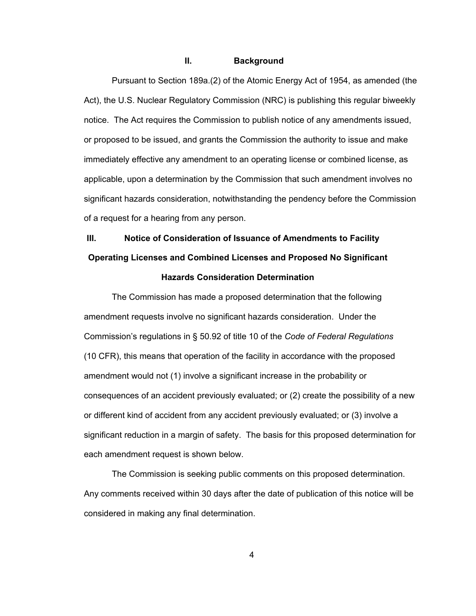#### **II. Background**

 Pursuant to Section 189a.(2) of the Atomic Energy Act of 1954, as amended (the Act), the U.S. Nuclear Regulatory Commission (NRC) is publishing this regular biweekly notice. The Act requires the Commission to publish notice of any amendments issued, or proposed to be issued, and grants the Commission the authority to issue and make immediately effective any amendment to an operating license or combined license, as applicable, upon a determination by the Commission that such amendment involves no significant hazards consideration, notwithstanding the pendency before the Commission of a request for a hearing from any person.

# **III. Notice of Consideration of Issuance of Amendments to Facility Operating Licenses and Combined Licenses and Proposed No Significant**

## **Hazards Consideration Determination**

The Commission has made a proposed determination that the following amendment requests involve no significant hazards consideration. Under the Commission's regulations in § 50.92 of title 10 of the *Code of Federal Regulations* (10 CFR), this means that operation of the facility in accordance with the proposed amendment would not (1) involve a significant increase in the probability or consequences of an accident previously evaluated; or (2) create the possibility of a new or different kind of accident from any accident previously evaluated; or (3) involve a significant reduction in a margin of safety. The basis for this proposed determination for each amendment request is shown below.

The Commission is seeking public comments on this proposed determination. Any comments received within 30 days after the date of publication of this notice will be considered in making any final determination.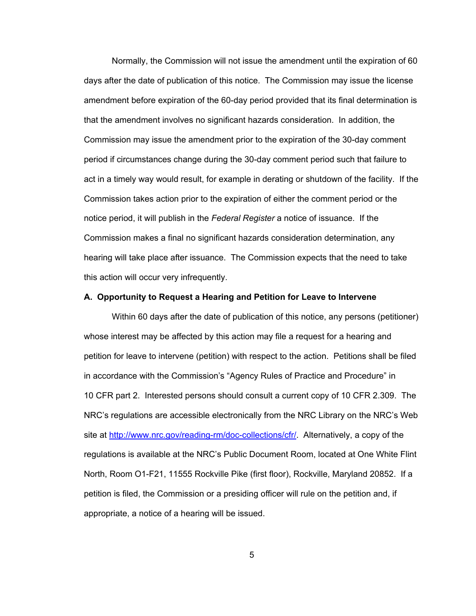Normally, the Commission will not issue the amendment until the expiration of 60 days after the date of publication of this notice. The Commission may issue the license amendment before expiration of the 60-day period provided that its final determination is that the amendment involves no significant hazards consideration. In addition, the Commission may issue the amendment prior to the expiration of the 30-day comment period if circumstances change during the 30-day comment period such that failure to act in a timely way would result, for example in derating or shutdown of the facility. If the Commission takes action prior to the expiration of either the comment period or the notice period, it will publish in the *Federal Register* a notice of issuance. If the Commission makes a final no significant hazards consideration determination, any hearing will take place after issuance. The Commission expects that the need to take this action will occur very infrequently.

#### **A. Opportunity to Request a Hearing and Petition for Leave to Intervene**

Within 60 days after the date of publication of this notice, any persons (petitioner) whose interest may be affected by this action may file a request for a hearing and petition for leave to intervene (petition) with respect to the action. Petitions shall be filed in accordance with the Commission's "Agency Rules of Practice and Procedure" in 10 CFR part 2. Interested persons should consult a current copy of 10 CFR 2.309. The NRC's regulations are accessible electronically from the NRC Library on the NRC's Web site at http://www.nrc.gov/reading-rm/doc-collections/cfr/. Alternatively, a copy of the regulations is available at the NRC's Public Document Room, located at One White Flint North, Room O1-F21, 11555 Rockville Pike (first floor), Rockville, Maryland 20852. If a petition is filed, the Commission or a presiding officer will rule on the petition and, if appropriate, a notice of a hearing will be issued.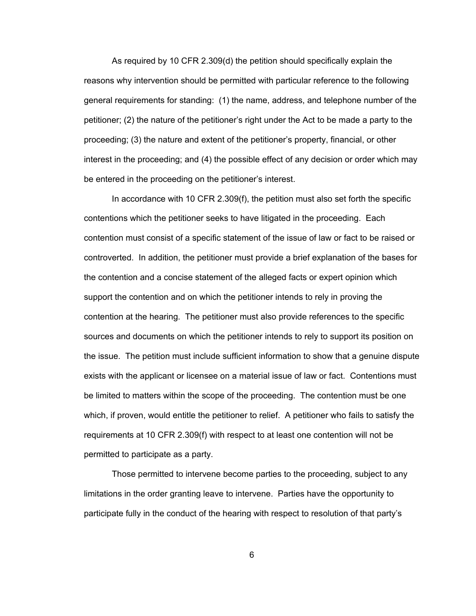As required by 10 CFR 2.309(d) the petition should specifically explain the reasons why intervention should be permitted with particular reference to the following general requirements for standing: (1) the name, address, and telephone number of the petitioner; (2) the nature of the petitioner's right under the Act to be made a party to the proceeding; (3) the nature and extent of the petitioner's property, financial, or other interest in the proceeding; and (4) the possible effect of any decision or order which may be entered in the proceeding on the petitioner's interest.

In accordance with 10 CFR 2.309(f), the petition must also set forth the specific contentions which the petitioner seeks to have litigated in the proceeding. Each contention must consist of a specific statement of the issue of law or fact to be raised or controverted. In addition, the petitioner must provide a brief explanation of the bases for the contention and a concise statement of the alleged facts or expert opinion which support the contention and on which the petitioner intends to rely in proving the contention at the hearing. The petitioner must also provide references to the specific sources and documents on which the petitioner intends to rely to support its position on the issue. The petition must include sufficient information to show that a genuine dispute exists with the applicant or licensee on a material issue of law or fact. Contentions must be limited to matters within the scope of the proceeding. The contention must be one which, if proven, would entitle the petitioner to relief. A petitioner who fails to satisfy the requirements at 10 CFR 2.309(f) with respect to at least one contention will not be permitted to participate as a party.

Those permitted to intervene become parties to the proceeding, subject to any limitations in the order granting leave to intervene. Parties have the opportunity to participate fully in the conduct of the hearing with respect to resolution of that party's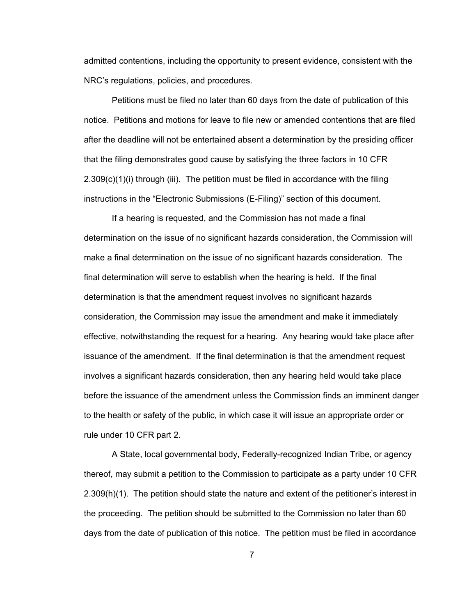admitted contentions, including the opportunity to present evidence, consistent with the NRC's regulations, policies, and procedures.

Petitions must be filed no later than 60 days from the date of publication of this notice. Petitions and motions for leave to file new or amended contentions that are filed after the deadline will not be entertained absent a determination by the presiding officer that the filing demonstrates good cause by satisfying the three factors in 10 CFR 2.309(c)(1)(i) through (iii). The petition must be filed in accordance with the filing instructions in the "Electronic Submissions (E-Filing)" section of this document.

If a hearing is requested, and the Commission has not made a final determination on the issue of no significant hazards consideration, the Commission will make a final determination on the issue of no significant hazards consideration. The final determination will serve to establish when the hearing is held. If the final determination is that the amendment request involves no significant hazards consideration, the Commission may issue the amendment and make it immediately effective, notwithstanding the request for a hearing. Any hearing would take place after issuance of the amendment. If the final determination is that the amendment request involves a significant hazards consideration, then any hearing held would take place before the issuance of the amendment unless the Commission finds an imminent danger to the health or safety of the public, in which case it will issue an appropriate order or rule under 10 CFR part 2.

A State, local governmental body, Federally-recognized Indian Tribe, or agency thereof, may submit a petition to the Commission to participate as a party under 10 CFR 2.309(h)(1). The petition should state the nature and extent of the petitioner's interest in the proceeding. The petition should be submitted to the Commission no later than 60 days from the date of publication of this notice. The petition must be filed in accordance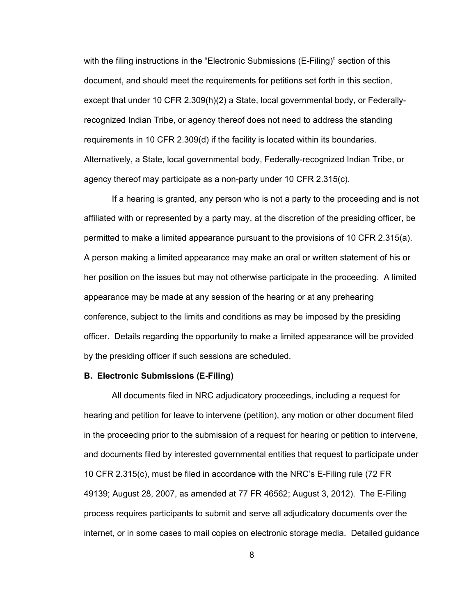with the filing instructions in the "Electronic Submissions (E-Filing)" section of this document, and should meet the requirements for petitions set forth in this section, except that under 10 CFR 2.309(h)(2) a State, local governmental body, or Federallyrecognized Indian Tribe, or agency thereof does not need to address the standing requirements in 10 CFR 2.309(d) if the facility is located within its boundaries. Alternatively, a State, local governmental body, Federally-recognized Indian Tribe, or agency thereof may participate as a non-party under 10 CFR 2.315(c).

If a hearing is granted, any person who is not a party to the proceeding and is not affiliated with or represented by a party may, at the discretion of the presiding officer, be permitted to make a limited appearance pursuant to the provisions of 10 CFR 2.315(a). A person making a limited appearance may make an oral or written statement of his or her position on the issues but may not otherwise participate in the proceeding. A limited appearance may be made at any session of the hearing or at any prehearing conference, subject to the limits and conditions as may be imposed by the presiding officer. Details regarding the opportunity to make a limited appearance will be provided by the presiding officer if such sessions are scheduled.

#### **B. Electronic Submissions (E-Filing)**

All documents filed in NRC adjudicatory proceedings, including a request for hearing and petition for leave to intervene (petition), any motion or other document filed in the proceeding prior to the submission of a request for hearing or petition to intervene, and documents filed by interested governmental entities that request to participate under 10 CFR 2.315(c), must be filed in accordance with the NRC's E-Filing rule (72 FR 49139; August 28, 2007, as amended at 77 FR 46562; August 3, 2012). The E-Filing process requires participants to submit and serve all adjudicatory documents over the internet, or in some cases to mail copies on electronic storage media. Detailed guidance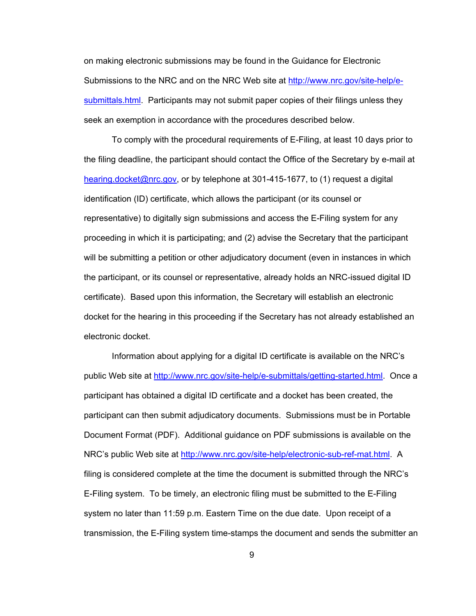on making electronic submissions may be found in the Guidance for Electronic Submissions to the NRC and on the NRC Web site at http://www.nrc.gov/site-help/esubmittals.html. Participants may not submit paper copies of their filings unless they seek an exemption in accordance with the procedures described below.

To comply with the procedural requirements of E-Filing, at least 10 days prior to the filing deadline, the participant should contact the Office of the Secretary by e-mail at hearing.docket@nrc.gov, or by telephone at 301-415-1677, to (1) request a digital identification (ID) certificate, which allows the participant (or its counsel or representative) to digitally sign submissions and access the E-Filing system for any proceeding in which it is participating; and (2) advise the Secretary that the participant will be submitting a petition or other adjudicatory document (even in instances in which the participant, or its counsel or representative, already holds an NRC-issued digital ID certificate). Based upon this information, the Secretary will establish an electronic docket for the hearing in this proceeding if the Secretary has not already established an electronic docket.

Information about applying for a digital ID certificate is available on the NRC's public Web site at http://www.nrc.gov/site-help/e-submittals/getting-started.html. Once a participant has obtained a digital ID certificate and a docket has been created, the participant can then submit adjudicatory documents. Submissions must be in Portable Document Format (PDF). Additional guidance on PDF submissions is available on the NRC's public Web site at http://www.nrc.gov/site-help/electronic-sub-ref-mat.html. A filing is considered complete at the time the document is submitted through the NRC's E-Filing system. To be timely, an electronic filing must be submitted to the E-Filing system no later than 11:59 p.m. Eastern Time on the due date. Upon receipt of a transmission, the E-Filing system time-stamps the document and sends the submitter an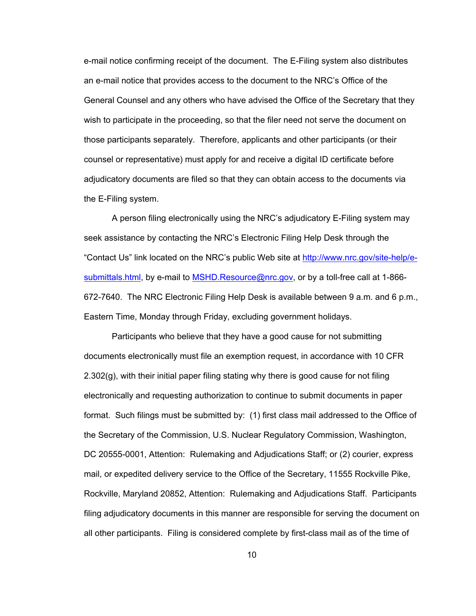e-mail notice confirming receipt of the document. The E-Filing system also distributes an e-mail notice that provides access to the document to the NRC's Office of the General Counsel and any others who have advised the Office of the Secretary that they wish to participate in the proceeding, so that the filer need not serve the document on those participants separately. Therefore, applicants and other participants (or their counsel or representative) must apply for and receive a digital ID certificate before adjudicatory documents are filed so that they can obtain access to the documents via the E-Filing system.

A person filing electronically using the NRC's adjudicatory E-Filing system may seek assistance by contacting the NRC's Electronic Filing Help Desk through the "Contact Us" link located on the NRC's public Web site at http://www.nrc.gov/site-help/esubmittals.html, by e-mail to MSHD.Resource@nrc.gov, or by a toll-free call at 1-866-672-7640. The NRC Electronic Filing Help Desk is available between 9 a.m. and 6 p.m., Eastern Time, Monday through Friday, excluding government holidays.

Participants who believe that they have a good cause for not submitting documents electronically must file an exemption request, in accordance with 10 CFR  $2.302(g)$ , with their initial paper filing stating why there is good cause for not filing electronically and requesting authorization to continue to submit documents in paper format. Such filings must be submitted by: (1) first class mail addressed to the Office of the Secretary of the Commission, U.S. Nuclear Regulatory Commission, Washington, DC 20555-0001, Attention: Rulemaking and Adjudications Staff; or (2) courier, express mail, or expedited delivery service to the Office of the Secretary, 11555 Rockville Pike, Rockville, Maryland 20852, Attention: Rulemaking and Adjudications Staff. Participants filing adjudicatory documents in this manner are responsible for serving the document on all other participants. Filing is considered complete by first-class mail as of the time of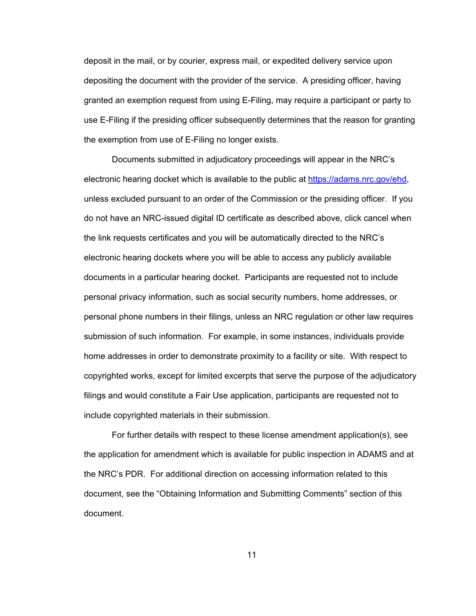deposit in the mail, or by courier, express mail, or expedited delivery service upon depositing the document with the provider of the service. A presiding officer, having granted an exemption request from using E-Filing, may require a participant or party to use E-Filing if the presiding officer subsequently determines that the reason for granting the exemption from use of E-Filing no longer exists.

Documents submitted in adjudicatory proceedings will appear in the NRC's electronic hearing docket which is available to the public at https://adams.nrc.gov/ehd, unless excluded pursuant to an order of the Commission or the presiding officer. If you do not have an NRC-issued digital ID certificate as described above, click cancel when the link requests certificates and you will be automatically directed to the NRC's electronic hearing dockets where you will be able to access any publicly available documents in a particular hearing docket. Participants are requested not to include personal privacy information, such as social security numbers, home addresses, or personal phone numbers in their filings, unless an NRC regulation or other law requires submission of such information. For example, in some instances, individuals provide home addresses in order to demonstrate proximity to a facility or site. With respect to copyrighted works, except for limited excerpts that serve the purpose of the adjudicatory filings and would constitute a Fair Use application, participants are requested not to include copyrighted materials in their submission.

For further details with respect to these license amendment application(s), see the application for amendment which is available for public inspection in ADAMS and at the NRC's PDR. For additional direction on accessing information related to this document, see the "Obtaining Information and Submitting Comments" section of this document.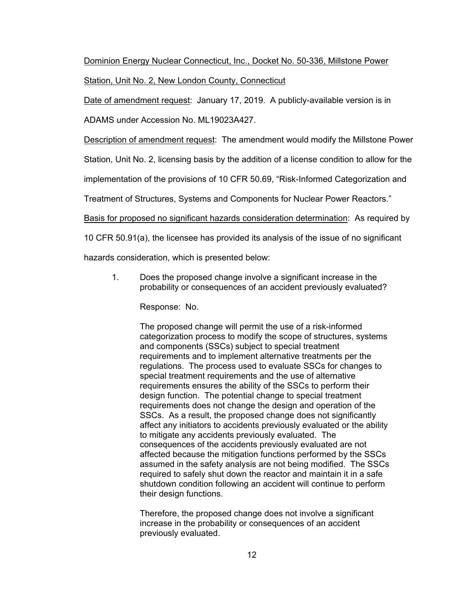# Dominion Energy Nuclear Connecticut, Inc., Docket No. 50-336, Millstone Power Station, Unit No. 2, New London County, Connecticut

Date of amendment request: January 17, 2019. A publicly-available version is in

ADAMS under Accession No. ML19023A427.

**Description of amendment request:** The amendment would modify the Millstone Power

Station, Unit No. 2, licensing basis by the addition of a license condition to allow for the

implementation of the provisions of 10 CFR 50.69, "Risk-Informed Categorization and

Treatment of Structures, Systems and Components for Nuclear Power Reactors."

Basis for proposed no significant hazards consideration determination: As required by

10 CFR 50.91(a), the licensee has provided its analysis of the issue of no significant

hazards consideration, which is presented below:

1. Does the proposed change involve a significant increase in the probability or consequences of an accident previously evaluated?

Response: No.

The proposed change will permit the use of a risk-informed categorization process to modify the scope of structures, systems and components (SSCs) subject to special treatment requirements and to implement alternative treatments per the regulations. The process used to evaluate SSCs for changes to special treatment requirements and the use of alternative requirements ensures the ability of the SSCs to perform their design function. The potential change to special treatment requirements does not change the design and operation of the SSCs. As a result, the proposed change does not significantly affect any initiators to accidents previously evaluated or the ability to mitigate any accidents previously evaluated. The consequences of the accidents previously evaluated are not affected because the mitigation functions performed by the SSCs assumed in the safety analysis are not being modified. The SSCs required to safely shut down the reactor and maintain it in a safe shutdown condition following an accident will continue to perform their design functions.

Therefore, the proposed change does not involve a significant increase in the probability or consequences of an accident previously evaluated.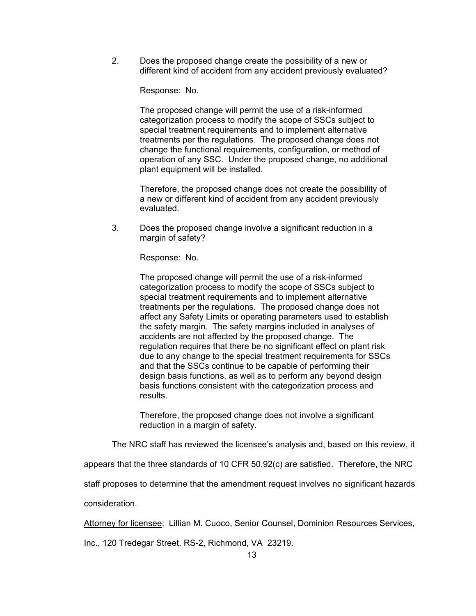2. Does the proposed change create the possibility of a new or different kind of accident from any accident previously evaluated?

Response: No.

The proposed change will permit the use of a risk-informed categorization process to modify the scope of SSCs subject to special treatment requirements and to implement alternative treatments per the regulations. The proposed change does not change the functional requirements, configuration, or method of operation of any SSC. Under the proposed change, no additional plant equipment will be installed.

Therefore, the proposed change does not create the possibility of a new or different kind of accident from any accident previously evaluated.

3. Does the proposed change involve a significant reduction in a margin of safety?

Response: No.

The proposed change will permit the use of a risk-informed categorization process to modify the scope of SSCs subject to special treatment requirements and to implement alternative treatments per the regulations. The proposed change does not affect any Safety Limits or operating parameters used to establish the safety margin. The safety margins included in analyses of accidents are not affected by the proposed change. The regulation requires that there be no significant effect on plant risk due to any change to the special treatment requirements for SSCs and that the SSCs continue to be capable of performing their design basis functions, as well as to perform any beyond design basis functions consistent with the categorization process and results.

Therefore, the proposed change does not involve a significant reduction in a margin of safety.

The NRC staff has reviewed the licensee's analysis and, based on this review, it

appears that the three standards of 10 CFR 50.92(c) are satisfied. Therefore, the NRC

staff proposes to determine that the amendment request involves no significant hazards

consideration.

Attorney for licensee: Lillian M. Cuoco, Senior Counsel, Dominion Resources Services,

Inc., 120 Tredegar Street, RS-2, Richmond, VA 23219.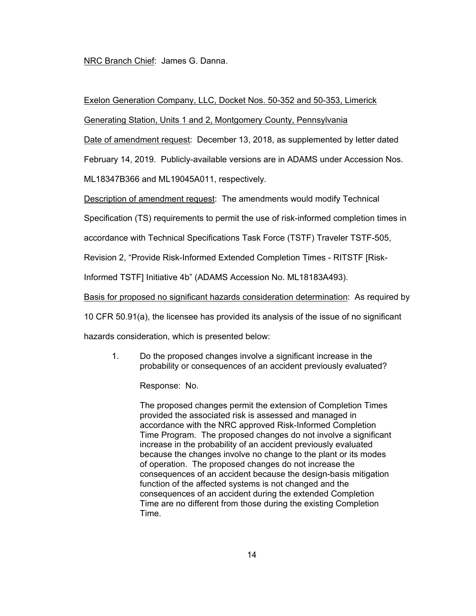### NRC Branch Chief: James G. Danna.

#### Exelon Generation Company, LLC, Docket Nos. 50-352 and 50-353, Limerick

Generating Station, Units 1 and 2, Montgomery County, Pennsylvania

Date of amendment request: December 13, 2018, as supplemented by letter dated

February 14, 2019. Publicly-available versions are in ADAMS under Accession Nos.

ML18347B366 and ML19045A011, respectively.

Description of amendment request: The amendments would modify Technical

Specification (TS) requirements to permit the use of risk-informed completion times in

accordance with Technical Specifications Task Force (TSTF) Traveler TSTF-505,

Revision 2, "Provide Risk-Informed Extended Completion Times - RITSTF [Risk-

Informed TSTF] Initiative 4b" (ADAMS Accession No. ML18183A493).

Basis for proposed no significant hazards consideration determination: As required by

10 CFR 50.91(a), the licensee has provided its analysis of the issue of no significant

hazards consideration, which is presented below:

1. Do the proposed changes involve a significant increase in the probability or consequences of an accident previously evaluated?

Response: No.

The proposed changes permit the extension of Completion Times provided the associated risk is assessed and managed in accordance with the NRC approved Risk-Informed Completion Time Program. The proposed changes do not involve a significant increase in the probability of an accident previously evaluated because the changes involve no change to the plant or its modes of operation. The proposed changes do not increase the consequences of an accident because the design-basis mitigation function of the affected systems is not changed and the consequences of an accident during the extended Completion Time are no different from those during the existing Completion Time.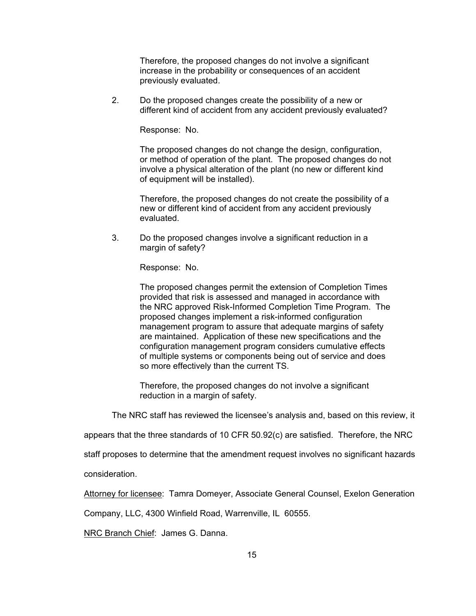Therefore, the proposed changes do not involve a significant increase in the probability or consequences of an accident previously evaluated.

2. Do the proposed changes create the possibility of a new or different kind of accident from any accident previously evaluated?

Response: No.

The proposed changes do not change the design, configuration, or method of operation of the plant. The proposed changes do not involve a physical alteration of the plant (no new or different kind of equipment will be installed).

Therefore, the proposed changes do not create the possibility of a new or different kind of accident from any accident previously evaluated.

3. Do the proposed changes involve a significant reduction in a margin of safety?

Response: No.

The proposed changes permit the extension of Completion Times provided that risk is assessed and managed in accordance with the NRC approved Risk-Informed Completion Time Program. The proposed changes implement a risk-informed configuration management program to assure that adequate margins of safety are maintained. Application of these new specifications and the configuration management program considers cumulative effects of multiple systems or components being out of service and does so more effectively than the current TS.

Therefore, the proposed changes do not involve a significant reduction in a margin of safety.

The NRC staff has reviewed the licensee's analysis and, based on this review, it

appears that the three standards of 10 CFR 50.92(c) are satisfied. Therefore, the NRC

staff proposes to determine that the amendment request involves no significant hazards

consideration.

Attorney for licensee: Tamra Domeyer, Associate General Counsel, Exelon Generation

Company, LLC, 4300 Winfield Road, Warrenville, IL 60555.

NRC Branch Chief: James G. Danna.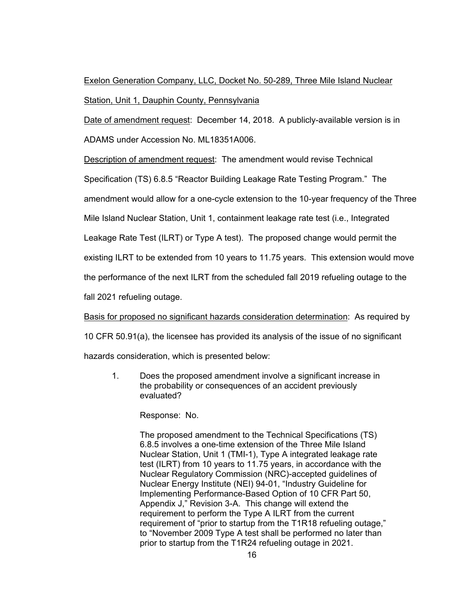# Exelon Generation Company, LLC, Docket No. 50-289, Three Mile Island Nuclear Station, Unit 1, Dauphin County, Pennsylvania

Date of amendment request: December 14, 2018. A publicly-available version is in ADAMS under Accession No. ML18351A006.

Description of amendment request: The amendment would revise Technical

Specification (TS) 6.8.5 "Reactor Building Leakage Rate Testing Program." The

amendment would allow for a one-cycle extension to the 10-year frequency of the Three

Mile Island Nuclear Station, Unit 1, containment leakage rate test (i.e., Integrated

Leakage Rate Test (ILRT) or Type A test). The proposed change would permit the

existing ILRT to be extended from 10 years to 11.75 years. This extension would move

the performance of the next ILRT from the scheduled fall 2019 refueling outage to the

fall 2021 refueling outage.

Basis for proposed no significant hazards consideration determination: As required by

10 CFR 50.91(a), the licensee has provided its analysis of the issue of no significant

hazards consideration, which is presented below:

1. Does the proposed amendment involve a significant increase in the probability or consequences of an accident previously evaluated?

Response: No.

The proposed amendment to the Technical Specifications (TS) 6.8.5 involves a one-time extension of the Three Mile Island Nuclear Station, Unit 1 (TMI-1), Type A integrated leakage rate test (ILRT) from 10 years to 11.75 years, in accordance with the Nuclear Regulatory Commission (NRC)-accepted guidelines of Nuclear Energy Institute (NEI) 94-01, "Industry Guideline for Implementing Performance-Based Option of 10 CFR Part 50, Appendix J," Revision 3-A. This change will extend the requirement to perform the Type A ILRT from the current requirement of "prior to startup from the T1R18 refueling outage," to "November 2009 Type A test shall be performed no later than prior to startup from the T1R24 refueling outage in 2021.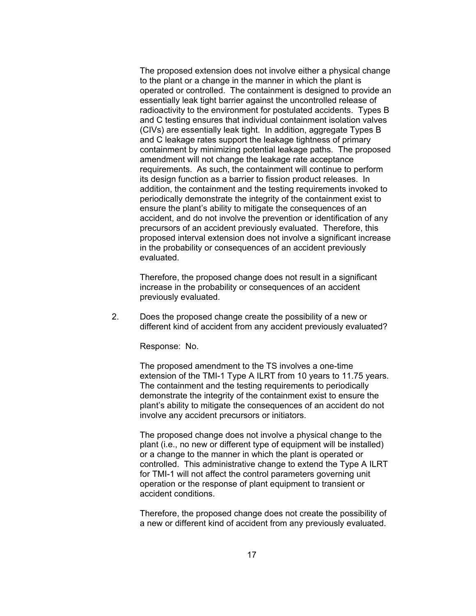The proposed extension does not involve either a physical change to the plant or a change in the manner in which the plant is operated or controlled. The containment is designed to provide an essentially leak tight barrier against the uncontrolled release of radioactivity to the environment for postulated accidents. Types B and C testing ensures that individual containment isolation valves (CIVs) are essentially leak tight. In addition, aggregate Types B and C leakage rates support the leakage tightness of primary containment by minimizing potential leakage paths. The proposed amendment will not change the leakage rate acceptance requirements. As such, the containment will continue to perform its design function as a barrier to fission product releases. In addition, the containment and the testing requirements invoked to periodically demonstrate the integrity of the containment exist to ensure the plant's ability to mitigate the consequences of an accident, and do not involve the prevention or identification of any precursors of an accident previously evaluated. Therefore, this proposed interval extension does not involve a significant increase in the probability or consequences of an accident previously evaluated.

Therefore, the proposed change does not result in a significant increase in the probability or consequences of an accident previously evaluated.

2. Does the proposed change create the possibility of a new or different kind of accident from any accident previously evaluated?

Response: No.

The proposed amendment to the TS involves a one-time extension of the TMI-1 Type A ILRT from 10 years to 11.75 years. The containment and the testing requirements to periodically demonstrate the integrity of the containment exist to ensure the plant's ability to mitigate the consequences of an accident do not involve any accident precursors or initiators.

The proposed change does not involve a physical change to the plant (i.e., no new or different type of equipment will be installed) or a change to the manner in which the plant is operated or controlled. This administrative change to extend the Type A ILRT for TMI-1 will not affect the control parameters governing unit operation or the response of plant equipment to transient or accident conditions.

Therefore, the proposed change does not create the possibility of a new or different kind of accident from any previously evaluated.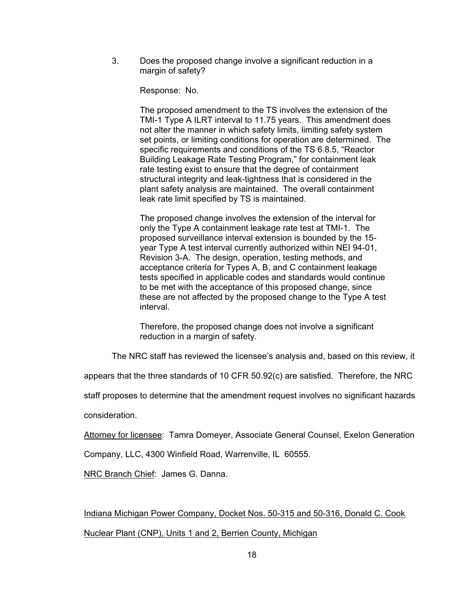3. Does the proposed change involve a significant reduction in a margin of safety?

Response: No.

The proposed amendment to the TS involves the extension of the TMI-1 Type A ILRT interval to 11.75 years. This amendment does not alter the manner in which safety limits, limiting safety system set points, or limiting conditions for operation are determined. The specific requirements and conditions of the TS 6.8.5, "Reactor Building Leakage Rate Testing Program," for containment leak rate testing exist to ensure that the degree of containment structural integrity and leak-tightness that is considered in the plant safety analysis are maintained. The overall containment leak rate limit specified by TS is maintained.

The proposed change involves the extension of the interval for only the Type A containment leakage rate test at TMI-1. The proposed surveillance interval extension is bounded by the 15 year Type A test interval currently authorized within NEI 94-01, Revision 3-A. The design, operation, testing methods, and acceptance criteria for Types A, B, and C containment leakage tests specified in applicable codes and standards would continue to be met with the acceptance of this proposed change, since these are not affected by the proposed change to the Type A test interval.

Therefore, the proposed change does not involve a significant reduction in a margin of safety.

The NRC staff has reviewed the licensee's analysis and, based on this review, it

appears that the three standards of 10 CFR 50.92(c) are satisfied. Therefore, the NRC

staff proposes to determine that the amendment request involves no significant hazards

consideration.

Attorney for licensee: Tamra Domeyer, Associate General Counsel, Exelon Generation

Company, LLC, 4300 Winfield Road, Warrenville, IL 60555.

NRC Branch Chief: James G. Danna.

Indiana Michigan Power Company, Docket Nos. 50-315 and 50-316, Donald C. Cook Nuclear Plant (CNP), Units 1 and 2, Berrien County, Michigan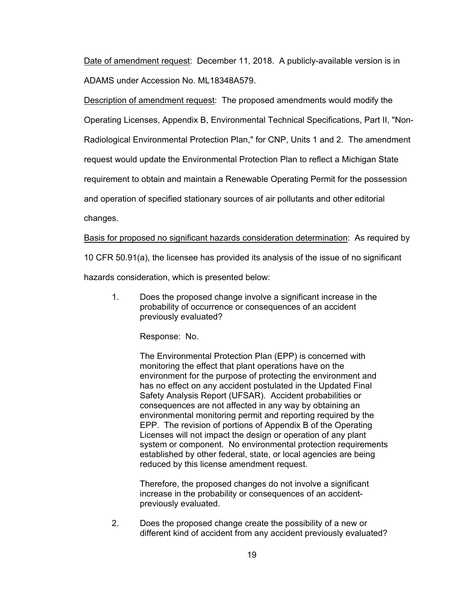Date of amendment request: December 11, 2018. A publicly-available version is in ADAMS under Accession No. ML18348A579.

Description of amendment request: The proposed amendments would modify the Operating Licenses, Appendix B, Environmental Technical Specifications, Part II, "Non-Radiological Environmental Protection Plan," for CNP, Units 1 and 2. The amendment request would update the Environmental Protection Plan to reflect a Michigan State requirement to obtain and maintain a Renewable Operating Permit for the possession and operation of specified stationary sources of air pollutants and other editorial changes.

### Basis for proposed no significant hazards consideration determination: As required by

10 CFR 50.91(a), the licensee has provided its analysis of the issue of no significant

hazards consideration, which is presented below:

1. Does the proposed change involve a significant increase in the probability of occurrence or consequences of an accident previously evaluated?

Response: No.

The Environmental Protection Plan (EPP) is concerned with monitoring the effect that plant operations have on the environment for the purpose of protecting the environment and has no effect on any accident postulated in the Updated Final Safety Analysis Report (UFSAR). Accident probabilities or consequences are not affected in any way by obtaining an environmental monitoring permit and reporting required by the EPP. The revision of portions of Appendix B of the Operating Licenses will not impact the design or operation of any plant system or component. No environmental protection requirements established by other federal, state, or local agencies are being reduced by this license amendment request.

Therefore, the proposed changes do not involve a significant increase in the probability or consequences of an accidentpreviously evaluated.

2. Does the proposed change create the possibility of a new or different kind of accident from any accident previously evaluated?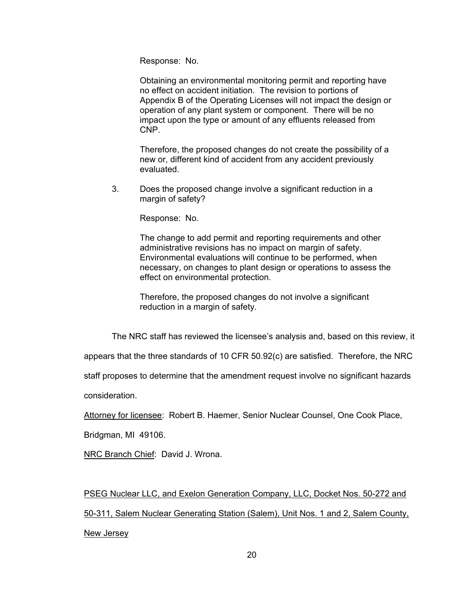Response: No.

Obtaining an environmental monitoring permit and reporting have no effect on accident initiation. The revision to portions of Appendix B of the Operating Licenses will not impact the design or operation of any plant system or component. There will be no impact upon the type or amount of any effluents released from CNP.

Therefore, the proposed changes do not create the possibility of a new or, different kind of accident from any accident previously evaluated.

3. Does the proposed change involve a significant reduction in a margin of safety?

Response: No.

The change to add permit and reporting requirements and other administrative revisions has no impact on margin of safety. Environmental evaluations will continue to be performed, when necessary, on changes to plant design or operations to assess the effect on environmental protection.

Therefore, the proposed changes do not involve a significant reduction in a margin of safety.

The NRC staff has reviewed the licensee's analysis and, based on this review, it

appears that the three standards of 10 CFR 50.92(c) are satisfied. Therefore, the NRC

staff proposes to determine that the amendment request involve no significant hazards

consideration.

Attorney for licensee: Robert B. Haemer, Senior Nuclear Counsel, One Cook Place,

Bridgman, MI 49106.

NRC Branch Chief: David J. Wrona.

PSEG Nuclear LLC, and Exelon Generation Company, LLC, Docket Nos. 50-272 and 50-311, Salem Nuclear Generating Station (Salem), Unit Nos. 1 and 2, Salem County, New Jersey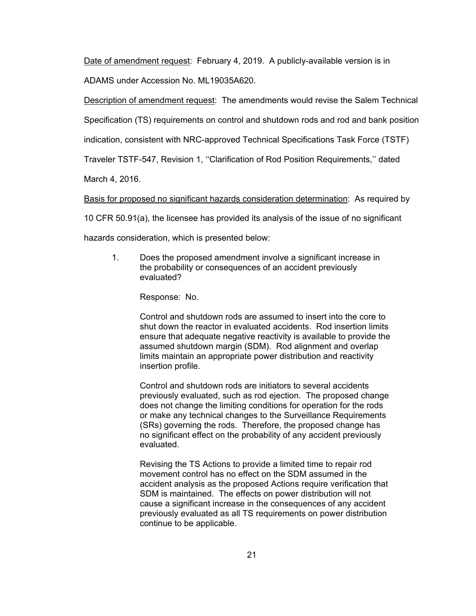Date of amendment request: February 4, 2019. A publicly-available version is in ADAMS under Accession No. ML19035A620.

Description of amendment request: The amendments would revise the Salem Technical

Specification (TS) requirements on control and shutdown rods and rod and bank position

indication, consistent with NRC-approved Technical Specifications Task Force (TSTF)

Traveler TSTF-547, Revision 1, ''Clarification of Rod Position Requirements,'' dated

March 4, 2016.

Basis for proposed no significant hazards consideration determination: As required by

10 CFR 50.91(a), the licensee has provided its analysis of the issue of no significant

hazards consideration, which is presented below:

1. Does the proposed amendment involve a significant increase in the probability or consequences of an accident previously evaluated?

Response: No.

Control and shutdown rods are assumed to insert into the core to shut down the reactor in evaluated accidents. Rod insertion limits ensure that adequate negative reactivity is available to provide the assumed shutdown margin (SDM). Rod alignment and overlap limits maintain an appropriate power distribution and reactivity insertion profile.

Control and shutdown rods are initiators to several accidents previously evaluated, such as rod ejection. The proposed change does not change the limiting conditions for operation for the rods or make any technical changes to the Surveillance Requirements (SRs) governing the rods. Therefore, the proposed change has no significant effect on the probability of any accident previously evaluated.

Revising the TS Actions to provide a limited time to repair rod movement control has no effect on the SDM assumed in the accident analysis as the proposed Actions require verification that SDM is maintained. The effects on power distribution will not cause a significant increase in the consequences of any accident previously evaluated as all TS requirements on power distribution continue to be applicable.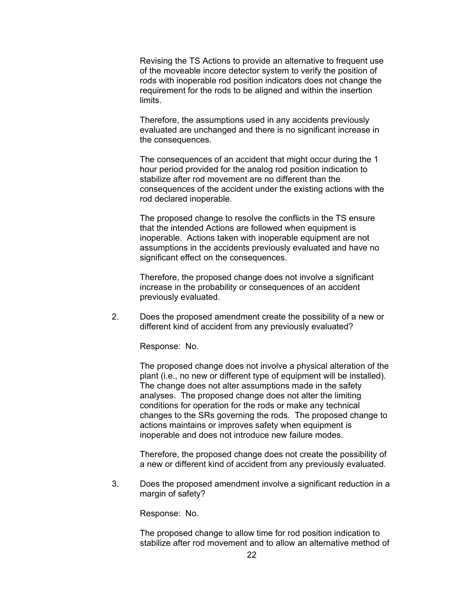Revising the TS Actions to provide an alternative to frequent use of the moveable incore detector system to verify the position of rods with inoperable rod position indicators does not change the requirement for the rods to be aligned and within the insertion limits.

Therefore, the assumptions used in any accidents previously evaluated are unchanged and there is no significant increase in the consequences.

The consequences of an accident that might occur during the 1 hour period provided for the analog rod position indication to stabilize after rod movement are no different than the consequences of the accident under the existing actions with the rod declared inoperable.

The proposed change to resolve the conflicts in the TS ensure that the intended Actions are followed when equipment is inoperable. Actions taken with inoperable equipment are not assumptions in the accidents previously evaluated and have no significant effect on the consequences.

Therefore, the proposed change does not involve a significant increase in the probability or consequences of an accident previously evaluated.

2. Does the proposed amendment create the possibility of a new or different kind of accident from any previously evaluated?

Response: No.

The proposed change does not involve a physical alteration of the plant (i.e., no new or different type of equipment will be installed). The change does not alter assumptions made in the safety analyses. The proposed change does not alter the limiting conditions for operation for the rods or make any technical changes to the SRs governing the rods. The proposed change to actions maintains or improves safety when equipment is inoperable and does not introduce new failure modes.

Therefore, the proposed change does not create the possibility of a new or different kind of accident from any previously evaluated.

3. Does the proposed amendment involve a significant reduction in a margin of safety?

Response: No.

The proposed change to allow time for rod position indication to stabilize after rod movement and to allow an alternative method of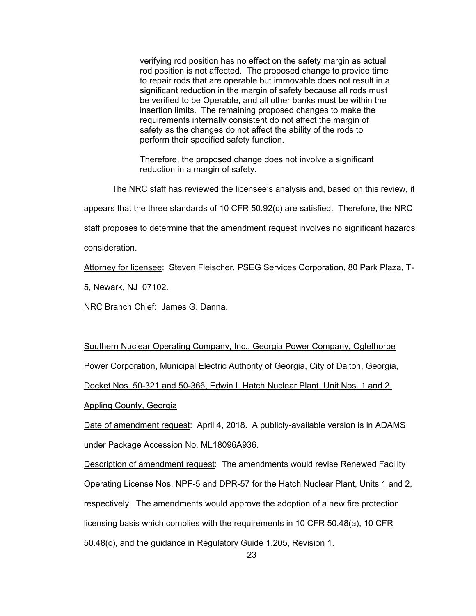verifying rod position has no effect on the safety margin as actual rod position is not affected. The proposed change to provide time to repair rods that are operable but immovable does not result in a significant reduction in the margin of safety because all rods must be verified to be Operable, and all other banks must be within the insertion limits. The remaining proposed changes to make the requirements internally consistent do not affect the margin of safety as the changes do not affect the ability of the rods to perform their specified safety function.

Therefore, the proposed change does not involve a significant reduction in a margin of safety.

The NRC staff has reviewed the licensee's analysis and, based on this review, it

appears that the three standards of 10 CFR 50.92(c) are satisfied. Therefore, the NRC

staff proposes to determine that the amendment request involves no significant hazards

consideration.

Attorney for licensee: Steven Fleischer, PSEG Services Corporation, 80 Park Plaza, T-

5, Newark, NJ 07102.

NRC Branch Chief: James G. Danna.

Southern Nuclear Operating Company, Inc., Georgia Power Company, Oglethorpe Power Corporation, Municipal Electric Authority of Georgia, City of Dalton, Georgia, Docket Nos. 50-321 and 50-366, Edwin I. Hatch Nuclear Plant, Unit Nos. 1 and 2,

Appling County, Georgia

Date of amendment request: April 4, 2018. A publicly-available version is in ADAMS under Package Accession No. ML18096A936.

**Description of amendment request:** The amendments would revise Renewed Facility Operating License Nos. NPF-5 and DPR-57 for the Hatch Nuclear Plant, Units 1 and 2, respectively. The amendments would approve the adoption of a new fire protection licensing basis which complies with the requirements in 10 CFR 50.48(a), 10 CFR 50.48(c), and the guidance in Regulatory Guide 1.205, Revision 1.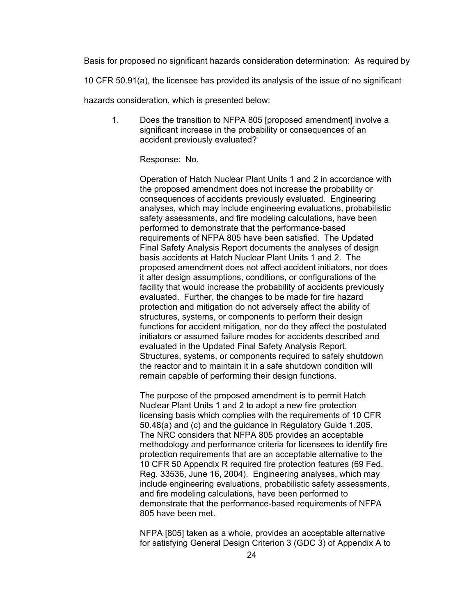## Basis for proposed no significant hazards consideration determination: As required by

10 CFR 50.91(a), the licensee has provided its analysis of the issue of no significant

hazards consideration, which is presented below:

1. Does the transition to NFPA 805 [proposed amendment] involve a significant increase in the probability or consequences of an accident previously evaluated?

### Response: No.

Operation of Hatch Nuclear Plant Units 1 and 2 in accordance with the proposed amendment does not increase the probability or consequences of accidents previously evaluated. Engineering analyses, which may include engineering evaluations, probabilistic safety assessments, and fire modeling calculations, have been performed to demonstrate that the performance-based requirements of NFPA 805 have been satisfied. The Updated Final Safety Analysis Report documents the analyses of design basis accidents at Hatch Nuclear Plant Units 1 and 2. The proposed amendment does not affect accident initiators, nor does it alter design assumptions, conditions, or configurations of the facility that would increase the probability of accidents previously evaluated. Further, the changes to be made for fire hazard protection and mitigation do not adversely affect the ability of structures, systems, or components to perform their design functions for accident mitigation, nor do they affect the postulated initiators or assumed failure modes for accidents described and evaluated in the Updated Final Safety Analysis Report. Structures, systems, or components required to safely shutdown the reactor and to maintain it in a safe shutdown condition will remain capable of performing their design functions.

The purpose of the proposed amendment is to permit Hatch Nuclear Plant Units 1 and 2 to adopt a new fire protection licensing basis which complies with the requirements of 10 CFR 50.48(a) and (c) and the guidance in Regulatory Guide 1.205. The NRC considers that NFPA 805 provides an acceptable methodology and performance criteria for licensees to identify fire protection requirements that are an acceptable alternative to the 10 CFR 50 Appendix R required fire protection features (69 Fed. Reg. 33536, June 16, 2004). Engineering analyses, which may include engineering evaluations, probabilistic safety assessments, and fire modeling calculations, have been performed to demonstrate that the performance-based requirements of NFPA 805 have been met.

NFPA [805] taken as a whole, provides an acceptable alternative for satisfying General Design Criterion 3 (GDC 3) of Appendix A to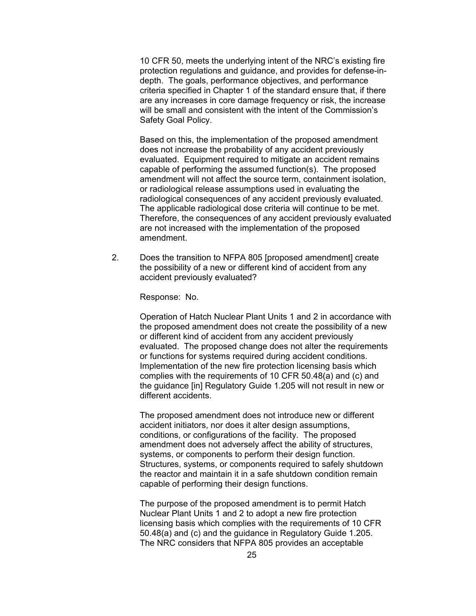10 CFR 50, meets the underlying intent of the NRC's existing fire protection regulations and guidance, and provides for defense-indepth. The goals, performance objectives, and performance criteria specified in Chapter 1 of the standard ensure that, if there are any increases in core damage frequency or risk, the increase will be small and consistent with the intent of the Commission's Safety Goal Policy.

Based on this, the implementation of the proposed amendment does not increase the probability of any accident previously evaluated. Equipment required to mitigate an accident remains capable of performing the assumed function(s). The proposed amendment will not affect the source term, containment isolation, or radiological release assumptions used in evaluating the radiological consequences of any accident previously evaluated. The applicable radiological dose criteria will continue to be met. Therefore, the consequences of any accident previously evaluated are not increased with the implementation of the proposed amendment.

2. Does the transition to NFPA 805 [proposed amendment] create the possibility of a new or different kind of accident from any accident previously evaluated?

Response: No.

Operation of Hatch Nuclear Plant Units 1 and 2 in accordance with the proposed amendment does not create the possibility of a new or different kind of accident from any accident previously evaluated. The proposed change does not alter the requirements or functions for systems required during accident conditions. Implementation of the new fire protection licensing basis which complies with the requirements of 10 CFR 50.48(a) and (c) and the guidance [in] Regulatory Guide 1.205 will not result in new or different accidents.

The proposed amendment does not introduce new or different accident initiators, nor does it alter design assumptions, conditions, or configurations of the facility. The proposed amendment does not adversely affect the ability of structures, systems, or components to perform their design function. Structures, systems, or components required to safely shutdown the reactor and maintain it in a safe shutdown condition remain capable of performing their design functions.

The purpose of the proposed amendment is to permit Hatch Nuclear Plant Units 1 and 2 to adopt a new fire protection licensing basis which complies with the requirements of 10 CFR 50.48(a) and (c) and the guidance in Regulatory Guide 1.205. The NRC considers that NFPA 805 provides an acceptable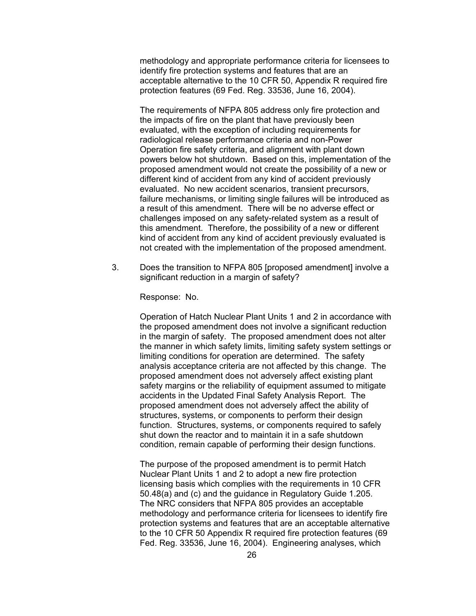methodology and appropriate performance criteria for licensees to identify fire protection systems and features that are an acceptable alternative to the 10 CFR 50, Appendix R required fire protection features (69 Fed. Reg. 33536, June 16, 2004).

The requirements of NFPA 805 address only fire protection and the impacts of fire on the plant that have previously been evaluated, with the exception of including requirements for radiological release performance criteria and non-Power Operation fire safety criteria, and alignment with plant down powers below hot shutdown. Based on this, implementation of the proposed amendment would not create the possibility of a new or different kind of accident from any kind of accident previously evaluated. No new accident scenarios, transient precursors, failure mechanisms, or limiting single failures will be introduced as a result of this amendment. There will be no adverse effect or challenges imposed on any safety-related system as a result of this amendment. Therefore, the possibility of a new or different kind of accident from any kind of accident previously evaluated is not created with the implementation of the proposed amendment.

3. Does the transition to NFPA 805 [proposed amendment] involve a significant reduction in a margin of safety?

Response: No.

Operation of Hatch Nuclear Plant Units 1 and 2 in accordance with the proposed amendment does not involve a significant reduction in the margin of safety. The proposed amendment does not alter the manner in which safety limits, limiting safety system settings or limiting conditions for operation are determined. The safety analysis acceptance criteria are not affected by this change. The proposed amendment does not adversely affect existing plant safety margins or the reliability of equipment assumed to mitigate accidents in the Updated Final Safety Analysis Report. The proposed amendment does not adversely affect the ability of structures, systems, or components to perform their design function. Structures, systems, or components required to safely shut down the reactor and to maintain it in a safe shutdown condition, remain capable of performing their design functions.

The purpose of the proposed amendment is to permit Hatch Nuclear Plant Units 1 and 2 to adopt a new fire protection licensing basis which complies with the requirements in 10 CFR 50.48(a) and (c) and the guidance in Regulatory Guide 1.205. The NRC considers that NFPA 805 provides an acceptable methodology and performance criteria for licensees to identify fire protection systems and features that are an acceptable alternative to the 10 CFR 50 Appendix R required fire protection features (69 Fed. Reg. 33536, June 16, 2004). Engineering analyses, which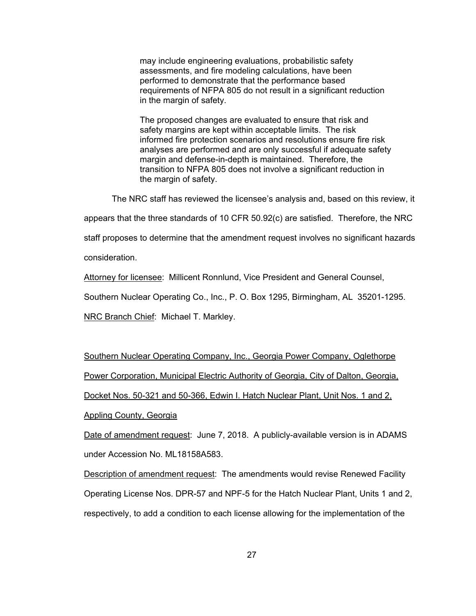may include engineering evaluations, probabilistic safety assessments, and fire modeling calculations, have been performed to demonstrate that the performance based requirements of NFPA 805 do not result in a significant reduction in the margin of safety.

The proposed changes are evaluated to ensure that risk and safety margins are kept within acceptable limits. The risk informed fire protection scenarios and resolutions ensure fire risk analyses are performed and are only successful if adequate safety margin and defense-in-depth is maintained. Therefore, the transition to NFPA 805 does not involve a significant reduction in the margin of safety.

The NRC staff has reviewed the licensee's analysis and, based on this review, it

appears that the three standards of 10 CFR 50.92(c) are satisfied. Therefore, the NRC

staff proposes to determine that the amendment request involves no significant hazards

consideration.

Attorney for licensee: Millicent Ronnlund, Vice President and General Counsel,

Southern Nuclear Operating Co., Inc., P. O. Box 1295, Birmingham, AL 35201-1295.

NRC Branch Chief: Michael T. Markley.

Southern Nuclear Operating Company, Inc., Georgia Power Company, Oglethorpe Power Corporation, Municipal Electric Authority of Georgia, City of Dalton, Georgia, Docket Nos. 50-321 and 50-366, Edwin I. Hatch Nuclear Plant, Unit Nos. 1 and 2,

Appling County, Georgia

Date of amendment request: June 7, 2018. A publicly-available version is in ADAMS under Accession No. ML18158A583.

**Description of amendment request:** The amendments would revise Renewed Facility Operating License Nos. DPR-57 and NPF-5 for the Hatch Nuclear Plant, Units 1 and 2, respectively, to add a condition to each license allowing for the implementation of the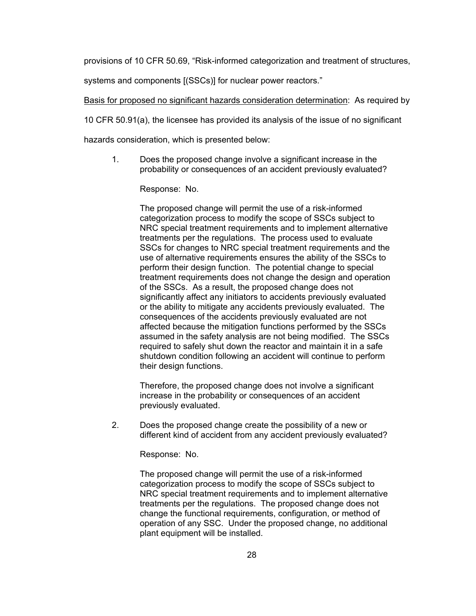provisions of 10 CFR 50.69, "Risk-informed categorization and treatment of structures,

systems and components [(SSCs)] for nuclear power reactors."

Basis for proposed no significant hazards consideration determination: As required by

10 CFR 50.91(a), the licensee has provided its analysis of the issue of no significant

hazards consideration, which is presented below:

1. Does the proposed change involve a significant increase in the probability or consequences of an accident previously evaluated?

Response: No.

The proposed change will permit the use of a risk-informed categorization process to modify the scope of SSCs subject to NRC special treatment requirements and to implement alternative treatments per the regulations. The process used to evaluate SSCs for changes to NRC special treatment requirements and the use of alternative requirements ensures the ability of the SSCs to perform their design function. The potential change to special treatment requirements does not change the design and operation of the SSCs. As a result, the proposed change does not significantly affect any initiators to accidents previously evaluated or the ability to mitigate any accidents previously evaluated. The consequences of the accidents previously evaluated are not affected because the mitigation functions performed by the SSCs assumed in the safety analysis are not being modified. The SSCs required to safely shut down the reactor and maintain it in a safe shutdown condition following an accident will continue to perform their design functions.

Therefore, the proposed change does not involve a significant increase in the probability or consequences of an accident previously evaluated.

2. Does the proposed change create the possibility of a new or different kind of accident from any accident previously evaluated?

Response: No.

The proposed change will permit the use of a risk-informed categorization process to modify the scope of SSCs subject to NRC special treatment requirements and to implement alternative treatments per the regulations. The proposed change does not change the functional requirements, configuration, or method of operation of any SSC. Under the proposed change, no additional plant equipment will be installed.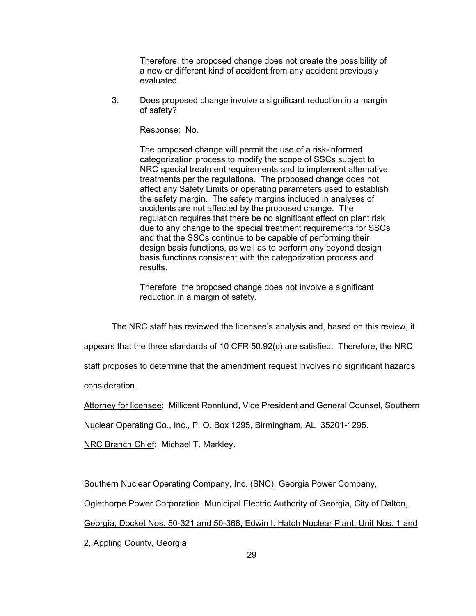Therefore, the proposed change does not create the possibility of a new or different kind of accident from any accident previously evaluated.

3. Does proposed change involve a significant reduction in a margin of safety?

Response: No.

The proposed change will permit the use of a risk-informed categorization process to modify the scope of SSCs subject to NRC special treatment requirements and to implement alternative treatments per the regulations. The proposed change does not affect any Safety Limits or operating parameters used to establish the safety margin. The safety margins included in analyses of accidents are not affected by the proposed change. The regulation requires that there be no significant effect on plant risk due to any change to the special treatment requirements for SSCs and that the SSCs continue to be capable of performing their design basis functions, as well as to perform any beyond design basis functions consistent with the categorization process and results.

Therefore, the proposed change does not involve a significant reduction in a margin of safety.

The NRC staff has reviewed the licensee's analysis and, based on this review, it

appears that the three standards of 10 CFR 50.92(c) are satisfied. Therefore, the NRC

staff proposes to determine that the amendment request involves no significant hazards

consideration.

Attorney for licensee: Millicent Ronnlund, Vice President and General Counsel, Southern

Nuclear Operating Co., Inc., P. O. Box 1295, Birmingham, AL 35201-1295.

**NRC Branch Chief: Michael T. Markley.** 

Southern Nuclear Operating Company, Inc. (SNC), Georgia Power Company,

Oglethorpe Power Corporation, Municipal Electric Authority of Georgia, City of Dalton,

Georgia, Docket Nos. 50-321 and 50-366, Edwin I. Hatch Nuclear Plant, Unit Nos. 1 and

2, Appling County, Georgia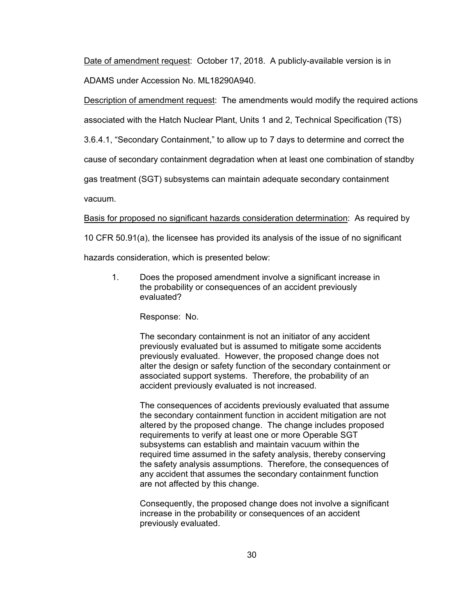Date of amendment request: October 17, 2018. A publicly-available version is in ADAMS under Accession No. ML18290A940.

Description of amendment request: The amendments would modify the required actions associated with the Hatch Nuclear Plant, Units 1 and 2, Technical Specification (TS)

3.6.4.1, "Secondary Containment," to allow up to 7 days to determine and correct the

cause of secondary containment degradation when at least one combination of standby

gas treatment (SGT) subsystems can maintain adequate secondary containment

vacuum.

Basis for proposed no significant hazards consideration determination: As required by

10 CFR 50.91(a), the licensee has provided its analysis of the issue of no significant

hazards consideration, which is presented below:

1. Does the proposed amendment involve a significant increase in the probability or consequences of an accident previously evaluated?

Response: No.

The secondary containment is not an initiator of any accident previously evaluated but is assumed to mitigate some accidents previously evaluated. However, the proposed change does not alter the design or safety function of the secondary containment or associated support systems. Therefore, the probability of an accident previously evaluated is not increased.

The consequences of accidents previously evaluated that assume the secondary containment function in accident mitigation are not altered by the proposed change. The change includes proposed requirements to verify at least one or more Operable SGT subsystems can establish and maintain vacuum within the required time assumed in the safety analysis, thereby conserving the safety analysis assumptions. Therefore, the consequences of any accident that assumes the secondary containment function are not affected by this change.

Consequently, the proposed change does not involve a significant increase in the probability or consequences of an accident previously evaluated.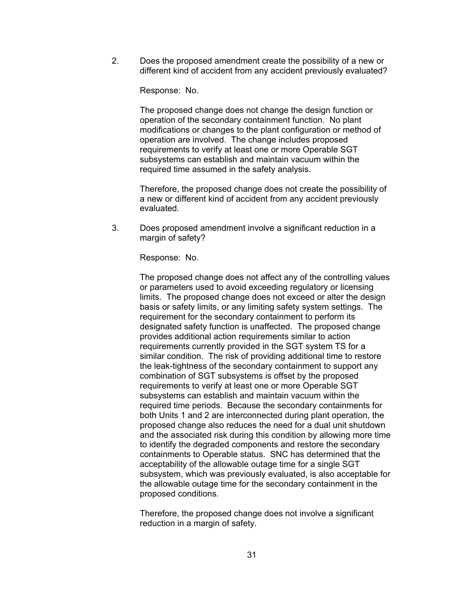2. Does the proposed amendment create the possibility of a new or different kind of accident from any accident previously evaluated?

Response: No.

The proposed change does not change the design function or operation of the secondary containment function. No plant modifications or changes to the plant configuration or method of operation are involved. The change includes proposed requirements to verify at least one or more Operable SGT subsystems can establish and maintain vacuum within the required time assumed in the safety analysis.

Therefore, the proposed change does not create the possibility of a new or different kind of accident from any accident previously evaluated.

3. Does proposed amendment involve a significant reduction in a margin of safety?

Response: No.

The proposed change does not affect any of the controlling values or parameters used to avoid exceeding regulatory or licensing limits. The proposed change does not exceed or alter the design basis or safety limits, or any limiting safety system settings. The requirement for the secondary containment to perform its designated safety function is unaffected. The proposed change provides additional action requirements similar to action requirements currently provided in the SGT system TS for a similar condition. The risk of providing additional time to restore the leak-tightness of the secondary containment to support any combination of SGT subsystems is offset by the proposed requirements to verify at least one or more Operable SGT subsystems can establish and maintain vacuum within the required time periods. Because the secondary containments for both Units 1 and 2 are interconnected during plant operation, the proposed change also reduces the need for a dual unit shutdown and the associated risk during this condition by allowing more time to identify the degraded components and restore the secondary containments to Operable status. SNC has determined that the acceptability of the allowable outage time for a single SGT subsystem, which was previously evaluated, is also acceptable for the allowable outage time for the secondary containment in the proposed conditions.

Therefore, the proposed change does not involve a significant reduction in a margin of safety.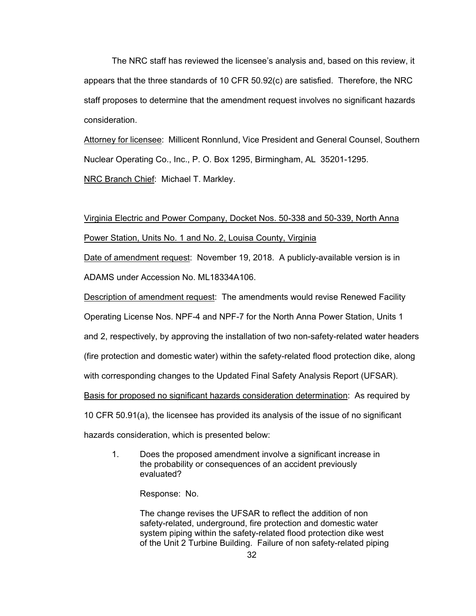The NRC staff has reviewed the licensee's analysis and, based on this review, it appears that the three standards of 10 CFR 50.92(c) are satisfied. Therefore, the NRC staff proposes to determine that the amendment request involves no significant hazards consideration.

Attorney for licensee: Millicent Ronnlund, Vice President and General Counsel, Southern Nuclear Operating Co., Inc., P. O. Box 1295, Birmingham, AL 35201-1295. **NRC Branch Chief: Michael T. Markley.** 

# Virginia Electric and Power Company, Docket Nos. 50-338 and 50-339, North Anna Power Station, Units No. 1 and No. 2, Louisa County, Virginia

Date of amendment request: November 19, 2018. A publicly-available version is in ADAMS under Accession No. ML18334A106.

Description of amendment request: The amendments would revise Renewed Facility Operating License Nos. NPF-4 and NPF-7 for the North Anna Power Station, Units 1 and 2, respectively, by approving the installation of two non-safety-related water headers (fire protection and domestic water) within the safety-related flood protection dike, along with corresponding changes to the Updated Final Safety Analysis Report (UFSAR). Basis for proposed no significant hazards consideration determination: As required by 10 CFR 50.91(a), the licensee has provided its analysis of the issue of no significant hazards consideration, which is presented below:

1. Does the proposed amendment involve a significant increase in the probability or consequences of an accident previously evaluated?

Response: No.

The change revises the UFSAR to reflect the addition of non safety-related, underground, fire protection and domestic water system piping within the safety-related flood protection dike west of the Unit 2 Turbine Building. Failure of non safety-related piping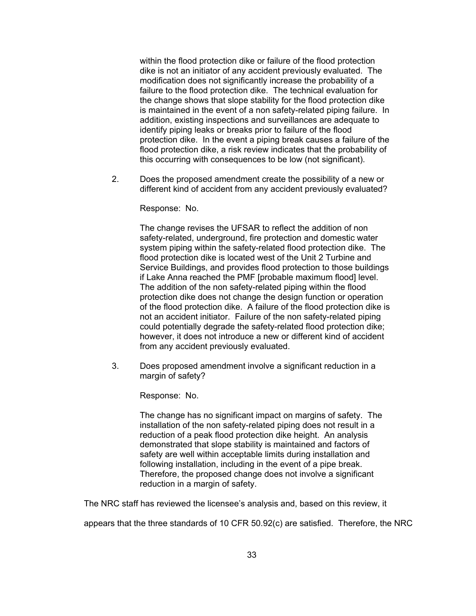within the flood protection dike or failure of the flood protection dike is not an initiator of any accident previously evaluated. The modification does not significantly increase the probability of a failure to the flood protection dike. The technical evaluation for the change shows that slope stability for the flood protection dike is maintained in the event of a non safety-related piping failure. In addition, existing inspections and surveillances are adequate to identify piping leaks or breaks prior to failure of the flood protection dike. In the event a piping break causes a failure of the flood protection dike, a risk review indicates that the probability of this occurring with consequences to be low (not significant).

2. Does the proposed amendment create the possibility of a new or different kind of accident from any accident previously evaluated?

Response: No.

The change revises the UFSAR to reflect the addition of non safety-related, underground, fire protection and domestic water system piping within the safety-related flood protection dike. The flood protection dike is located west of the Unit 2 Turbine and Service Buildings, and provides flood protection to those buildings if Lake Anna reached the PMF [probable maximum flood] level. The addition of the non safety-related piping within the flood protection dike does not change the design function or operation of the flood protection dike. A failure of the flood protection dike is not an accident initiator. Failure of the non safety-related piping could potentially degrade the safety-related flood protection dike; however, it does not introduce a new or different kind of accident from any accident previously evaluated.

3. Does proposed amendment involve a significant reduction in a margin of safety?

Response: No.

The change has no significant impact on margins of safety. The installation of the non safety-related piping does not result in a reduction of a peak flood protection dike height. An analysis demonstrated that slope stability is maintained and factors of safety are well within acceptable limits during installation and following installation, including in the event of a pipe break. Therefore, the proposed change does not involve a significant reduction in a margin of safety.

The NRC staff has reviewed the licensee's analysis and, based on this review, it

appears that the three standards of 10 CFR 50.92(c) are satisfied. Therefore, the NRC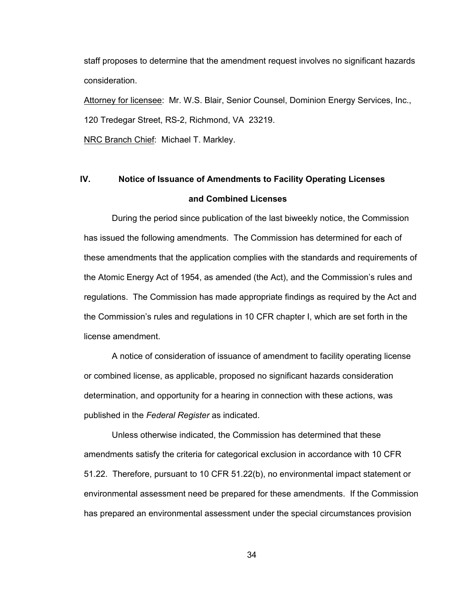staff proposes to determine that the amendment request involves no significant hazards consideration.

Attorney for licensee: Mr. W.S. Blair, Senior Counsel, Dominion Energy Services, Inc., 120 Tredegar Street, RS-2, Richmond, VA 23219.

**NRC Branch Chief: Michael T. Markley.** 

# **IV. Notice of Issuance of Amendments to Facility Operating Licenses and Combined Licenses**

During the period since publication of the last biweekly notice, the Commission has issued the following amendments. The Commission has determined for each of these amendments that the application complies with the standards and requirements of the Atomic Energy Act of 1954, as amended (the Act), and the Commission's rules and regulations. The Commission has made appropriate findings as required by the Act and the Commission's rules and regulations in 10 CFR chapter I, which are set forth in the license amendment.

A notice of consideration of issuance of amendment to facility operating license or combined license, as applicable, proposed no significant hazards consideration determination, and opportunity for a hearing in connection with these actions, was published in the *Federal Register* as indicated.

Unless otherwise indicated, the Commission has determined that these amendments satisfy the criteria for categorical exclusion in accordance with 10 CFR 51.22. Therefore, pursuant to 10 CFR 51.22(b), no environmental impact statement or environmental assessment need be prepared for these amendments. If the Commission has prepared an environmental assessment under the special circumstances provision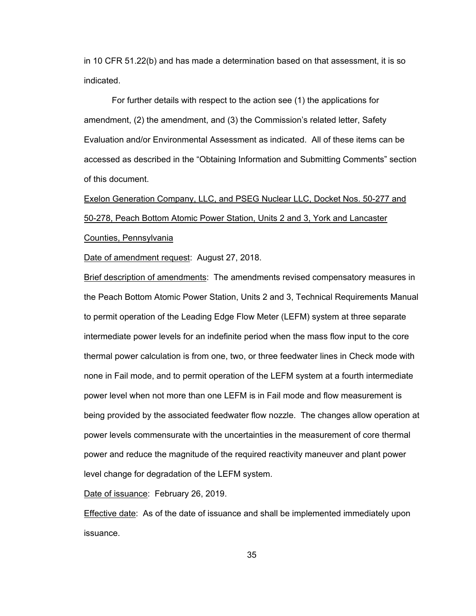in 10 CFR 51.22(b) and has made a determination based on that assessment, it is so indicated.

For further details with respect to the action see (1) the applications for amendment, (2) the amendment, and (3) the Commission's related letter, Safety Evaluation and/or Environmental Assessment as indicated. All of these items can be accessed as described in the "Obtaining Information and Submitting Comments" section of this document.

Exelon Generation Company, LLC, and PSEG Nuclear LLC, Docket Nos. 50-277 and 50-278, Peach Bottom Atomic Power Station, Units 2 and 3, York and Lancaster Counties, Pennsylvania

Date of amendment request: August 27, 2018.

Brief description of amendments: The amendments revised compensatory measures in the Peach Bottom Atomic Power Station, Units 2 and 3, Technical Requirements Manual to permit operation of the Leading Edge Flow Meter (LEFM) system at three separate intermediate power levels for an indefinite period when the mass flow input to the core thermal power calculation is from one, two, or three feedwater lines in Check mode with none in Fail mode, and to permit operation of the LEFM system at a fourth intermediate power level when not more than one LEFM is in Fail mode and flow measurement is being provided by the associated feedwater flow nozzle. The changes allow operation at power levels commensurate with the uncertainties in the measurement of core thermal power and reduce the magnitude of the required reactivity maneuver and plant power level change for degradation of the LEFM system.

Date of issuance: February 26, 2019.

Effective date: As of the date of issuance and shall be implemented immediately upon issuance.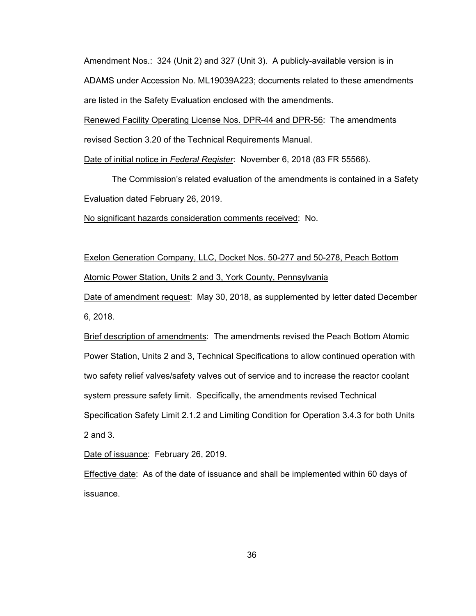Amendment Nos.: 324 (Unit 2) and 327 (Unit 3). A publicly-available version is in ADAMS under Accession No. ML19039A223; documents related to these amendments are listed in the Safety Evaluation enclosed with the amendments.

Renewed Facility Operating License Nos. DPR-44 and DPR-56: The amendments revised Section 3.20 of the Technical Requirements Manual.

Date of initial notice in *Federal Register*: November 6, 2018 (83 FR 55566).

The Commission's related evaluation of the amendments is contained in a Safety Evaluation dated February 26, 2019.

No significant hazards consideration comments received: No.

Exelon Generation Company, LLC, Docket Nos. 50-277 and 50-278, Peach Bottom Atomic Power Station, Units 2 and 3, York County, Pennsylvania

Date of amendment request: May 30, 2018, as supplemented by letter dated December 6, 2018.

Brief description of amendments: The amendments revised the Peach Bottom Atomic Power Station, Units 2 and 3, Technical Specifications to allow continued operation with two safety relief valves/safety valves out of service and to increase the reactor coolant system pressure safety limit. Specifically, the amendments revised Technical Specification Safety Limit 2.1.2 and Limiting Condition for Operation 3.4.3 for both Units 2 and 3.

Date of issuance: February 26, 2019.

**Effective date:** As of the date of issuance and shall be implemented within 60 days of issuance.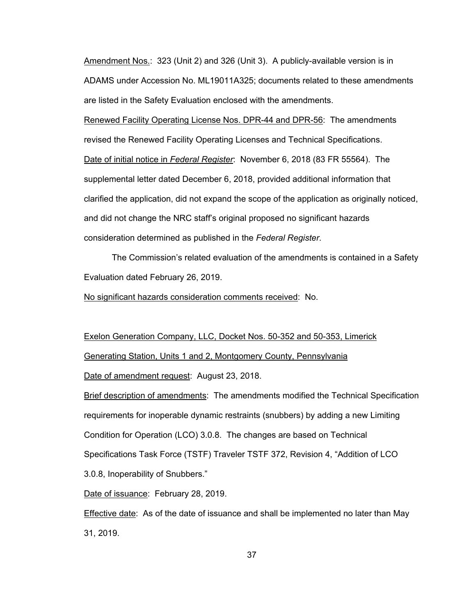Amendment Nos.: 323 (Unit 2) and 326 (Unit 3). A publicly-available version is in ADAMS under Accession No. ML19011A325; documents related to these amendments are listed in the Safety Evaluation enclosed with the amendments.

Renewed Facility Operating License Nos. DPR-44 and DPR-56: The amendments revised the Renewed Facility Operating Licenses and Technical Specifications. Date of initial notice in *Federal Register*: November 6, 2018 (83 FR 55564). The supplemental letter dated December 6, 2018, provided additional information that clarified the application, did not expand the scope of the application as originally noticed, and did not change the NRC staff's original proposed no significant hazards consideration determined as published in the *Federal Register*.

The Commission's related evaluation of the amendments is contained in a Safety Evaluation dated February 26, 2019.

No significant hazards consideration comments received: No.

Exelon Generation Company, LLC, Docket Nos. 50-352 and 50-353, Limerick

Generating Station, Units 1 and 2, Montgomery County, Pennsylvania

Date of amendment request: August 23, 2018.

Brief description of amendments: The amendments modified the Technical Specification requirements for inoperable dynamic restraints (snubbers) by adding a new Limiting Condition for Operation (LCO) 3.0.8. The changes are based on Technical Specifications Task Force (TSTF) Traveler TSTF 372, Revision 4, "Addition of LCO 3.0.8, Inoperability of Snubbers."

Date of issuance: February 28, 2019.

Effective date: As of the date of issuance and shall be implemented no later than May 31, 2019.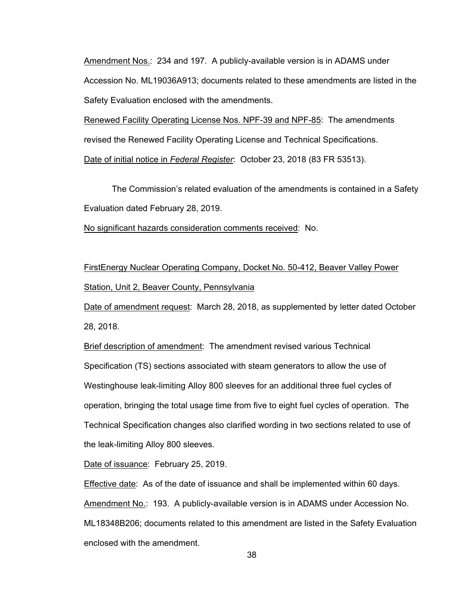Amendment Nos.: 234 and 197. A publicly-available version is in ADAMS under Accession No. ML19036A913; documents related to these amendments are listed in the Safety Evaluation enclosed with the amendments.

Renewed Facility Operating License Nos. NPF-39 and NPF-85: The amendments revised the Renewed Facility Operating License and Technical Specifications. Date of initial notice in *Federal Register*: October 23, 2018 (83 FR 53513).

The Commission's related evaluation of the amendments is contained in a Safety Evaluation dated February 28, 2019.

No significant hazards consideration comments received: No.

FirstEnergy Nuclear Operating Company, Docket No. 50-412, Beaver Valley Power Station, Unit 2, Beaver County, Pennsylvania

Date of amendment request: March 28, 2018, as supplemented by letter dated October 28, 2018.

Brief description of amendment: The amendment revised various Technical Specification (TS) sections associated with steam generators to allow the use of Westinghouse leak-limiting Alloy 800 sleeves for an additional three fuel cycles of operation, bringing the total usage time from five to eight fuel cycles of operation. The Technical Specification changes also clarified wording in two sections related to use of the leak-limiting Alloy 800 sleeves.

Date of issuance: February 25, 2019.

Effective date: As of the date of issuance and shall be implemented within 60 days. Amendment No.: 193. A publicly-available version is in ADAMS under Accession No. ML18348B206; documents related to this amendment are listed in the Safety Evaluation enclosed with the amendment.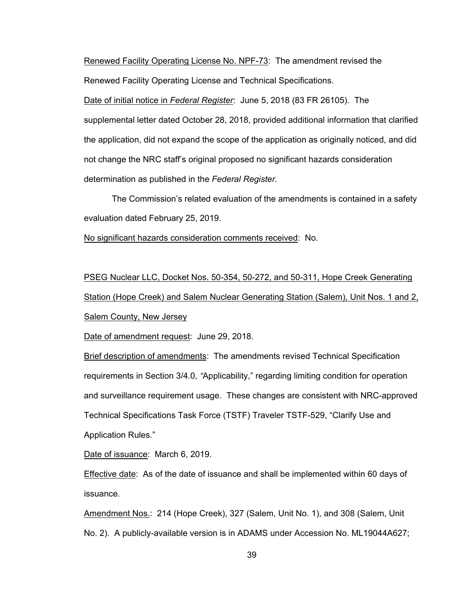Renewed Facility Operating License No. NPF-73: The amendment revised the Renewed Facility Operating License and Technical Specifications.

Date of initial notice in *Federal Register*: June 5, 2018 (83 FR 26105). The supplemental letter dated October 28, 2018, provided additional information that clarified the application, did not expand the scope of the application as originally noticed, and did not change the NRC staff's original proposed no significant hazards consideration determination as published in the *Federal Register*.

The Commission's related evaluation of the amendments is contained in a safety evaluation dated February 25, 2019.

No significant hazards consideration comments received: No.

PSEG Nuclear LLC, Docket Nos. 50-354, 50-272, and 50-311, Hope Creek Generating Station (Hope Creek) and Salem Nuclear Generating Station (Salem), Unit Nos. 1 and 2, Salem County, New Jersey

Date of amendment request: June 29, 2018.

Brief description of amendments: The amendments revised Technical Specification requirements in Section 3/4.0*, "*Applicability," regarding limiting condition for operation and surveillance requirement usage. These changes are consistent with NRC-approved Technical Specifications Task Force (TSTF) Traveler TSTF-529, "Clarify Use and Application Rules."

Date of issuance: March 6, 2019.

Effective date: As of the date of issuance and shall be implemented within 60 days of issuance.

Amendment Nos.: 214 (Hope Creek), 327 (Salem, Unit No. 1), and 308 (Salem, Unit No. 2). A publicly-available version is in ADAMS under Accession No. ML19044A627;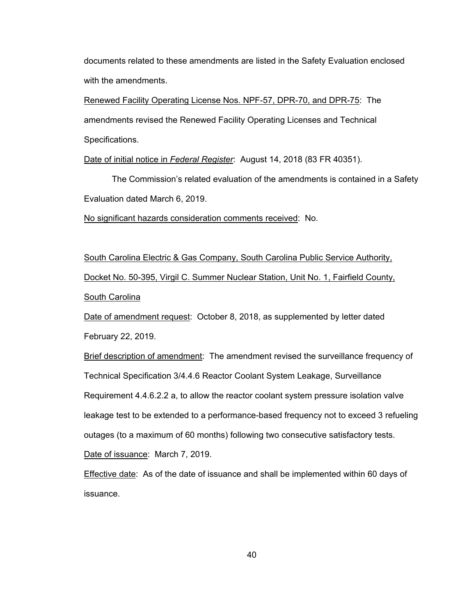documents related to these amendments are listed in the Safety Evaluation enclosed with the amendments.

Renewed Facility Operating License Nos. NPF-57, DPR-70, and DPR-75: The amendments revised the Renewed Facility Operating Licenses and Technical Specifications.

Date of initial notice in *Federal Register*: August 14, 2018 (83 FR 40351).

The Commission's related evaluation of the amendments is contained in a Safety Evaluation dated March 6, 2019.

No significant hazards consideration comments received: No.

South Carolina Electric & Gas Company, South Carolina Public Service Authority, Docket No. 50-395, Virgil C. Summer Nuclear Station, Unit No. 1, Fairfield County, South Carolina

Date of amendment request: October 8, 2018, as supplemented by letter dated February 22, 2019.

Brief description of amendment: The amendment revised the surveillance frequency of Technical Specification 3/4.4.6 Reactor Coolant System Leakage, Surveillance Requirement 4.4.6.2.2 a, to allow the reactor coolant system pressure isolation valve leakage test to be extended to a performance-based frequency not to exceed 3 refueling outages (to a maximum of 60 months) following two consecutive satisfactory tests. Date of issuance: March 7, 2019.

**Effective date:** As of the date of issuance and shall be implemented within 60 days of issuance.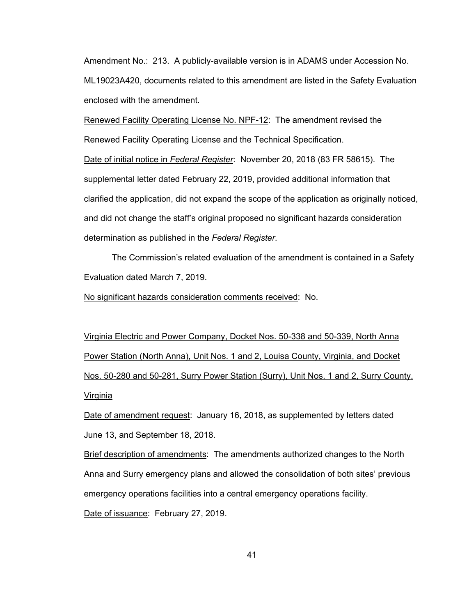Amendment No.: 213. A publicly-available version is in ADAMS under Accession No. ML19023A420, documents related to this amendment are listed in the Safety Evaluation enclosed with the amendment.

Renewed Facility Operating License No. NPF-12: The amendment revised the Renewed Facility Operating License and the Technical Specification.

Date of initial notice in *Federal Register*: November 20, 2018 (83 FR 58615). The supplemental letter dated February 22, 2019, provided additional information that clarified the application, did not expand the scope of the application as originally noticed, and did not change the staff's original proposed no significant hazards consideration determination as published in the *Federal Register*.

The Commission's related evaluation of the amendment is contained in a Safety Evaluation dated March 7, 2019.

No significant hazards consideration comments received: No.

Virginia Electric and Power Company, Docket Nos. 50-338 and 50-339, North Anna Power Station (North Anna), Unit Nos. 1 and 2, Louisa County, Virginia, and Docket Nos. 50-280 and 50-281, Surry Power Station (Surry), Unit Nos. 1 and 2, Surry County, Virginia

Date of amendment request: January 16, 2018, as supplemented by letters dated June 13, and September 18, 2018.

Brief description of amendments: The amendments authorized changes to the North Anna and Surry emergency plans and allowed the consolidation of both sites' previous emergency operations facilities into a central emergency operations facility.

Date of issuance: February 27, 2019.